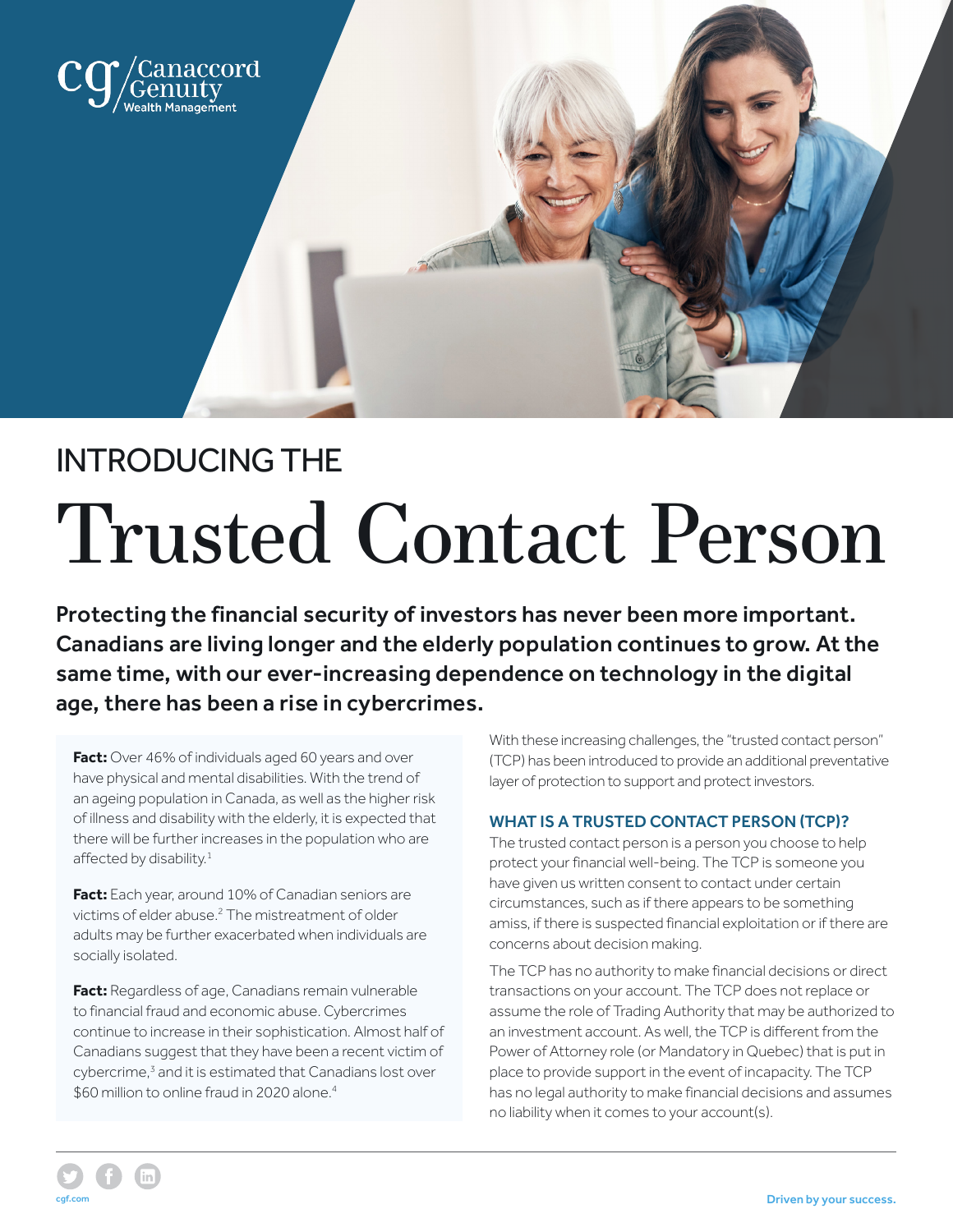

# INTRODUCING THE Trusted Contact Person

Protecting the financial security of investors has never been more important. Canadians are living longer and the elderly population continues to grow. At the same time, with our ever-increasing dependence on technology in the digital age, there has been a rise in cybercrimes.

Fact: Over 46% of individuals aged 60 years and over have physical and mental disabilities. With the trend of an ageing population in Canada, as well as the higher risk of illness and disability with the elderly, it is expected that there will be further increases in the population who are affected by disability.<sup>1</sup>

**Fact:** Each year, around 10% of Canadian seniors are victims of elder abuse.2 The mistreatment of older adults may be further exacerbated when individuals are socially isolated.

**Fact:** Regardless of age, Canadians remain vulnerable to financial fraud and economic abuse. Cybercrimes continue to increase in their sophistication. Almost half of Canadians suggest that they have been a recent victim of cybercrime,<sup>3</sup> and it is estimated that Canadians lost over \$60 million to online fraud in 2020 alone.<sup>4</sup>

cgf.com

With these increasing challenges, the "trusted contact person" (TCP) has been introduced to provide an additional preventative layer of protection to support and protect investors.

## WHAT IS A TRUSTED CONTACT PERSON (TCP)?

The trusted contact person is a person you choose to help protect your financial well-being. The TCP is someone you have given us written consent to contact under certain circumstances, such as if there appears to be something amiss, if there is suspected financial exploitation or if there are concerns about decision making.

The TCP has no authority to make financial decisions or direct transactions on your account. The TCP does not replace or assume the role of Trading Authority that may be authorized to an investment account. As well, the TCP is different from the Power of Attorney role (or Mandatory in Quebec) that is put in place to provide support in the event of incapacity. The TCP has no legal authority to make financial decisions and assumes no liability when it comes to your account(s).